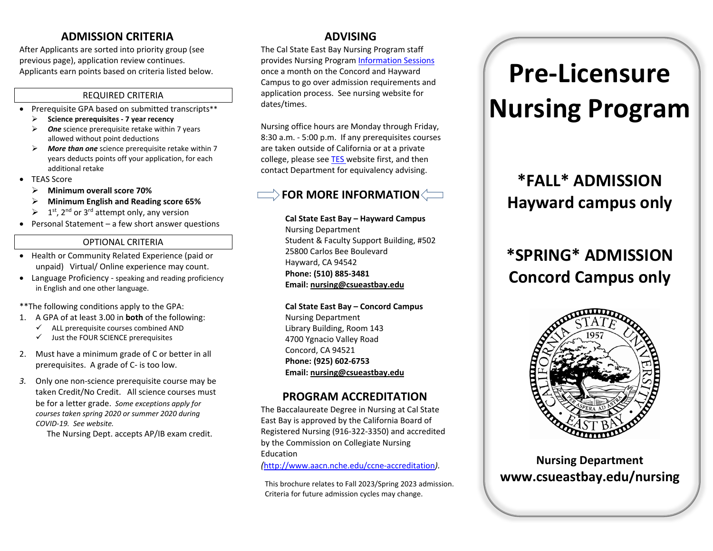### **ADMISSION CRITERIA**

After Applicants are sorted into priority group (see previous page), application review continues. Applicants earn points based on criteria listed below.

#### REQUIRED CRITERIA

- Prerequisite GPA based on submitted transcripts\*\*
	- **Science prerequisites - 7 year recency**
	- *One* science prerequisite retake within 7 years allowed without point deductions
	- *More than one* science prerequisite retake within 7 years deducts points off your application, for each additional retake
- TEAS Score
	- **Minimum overall score 70%**
	- **Minimum English and Reading score 65%**
	- $\geq 1^{st}$ , 2<sup>nd</sup> or 3<sup>rd</sup> attempt only, any version
- Personal Statement a few short answer questions

#### OPTIONAL CRITERIA

- Health or Community Related Experience (paid or unpaid) Virtual/ Online experience may count.
- Language Proficiency speaking and reading proficiency in English and one other language.

\*\*The following conditions apply to the GPA:

- 1. A GPA of at least 3.00 in **both** of the following:
	- $\checkmark$  ALL prerequisite courses combined AND
	- $\checkmark$  Just the FOUR SCIENCE prerequisites
- 2. Must have a minimum grade of C or better in all prerequisites. A grade of C- is too low.
- *3.* Only one non-science prerequisite course may be taken Credit/No Credit. All science courses must be for a letter grade. *Some exceptions apply for courses taken spring 2020 or summer 2020 during COVID-19. See website.*

The Nursing Dept. accepts AP/IB exam credit.

### **ADVISING**

The Cal State East Bay Nursing Program staff provides Nursing Program [Information Sessions](http://www.csueastbay.edu/nursing/bsn-programs/prospective-students/info-sessions.html) once a month on the Concord and Hayward Campus to go over admission requirements and application process. See nursing website for dates/times.

Nursing office hours are Monday through Friday, 8:30 a.m. - 5:00 p.m. If any prerequisites courses are taken outside of California or at a private college, please see [TES w](https://tes.collegesource.com/publicview/TES_publicview01.aspx?rid=b75e02ac-0916-413d-8adf-f8011538371f&aid=c79a2650-be66-45fb-9aff-c6f976fd20ff)ebsite first, and then contact Department for equivalency advising.

### $\Rightarrow$  FOR MORE INFORMATION  $\Longleftarrow$

**Cal State East Bay – Hayward Campus**  Nursing Department Student & Faculty Support Building, #502 25800 Carlos Bee Boulevard Hayward, CA 94542 **Phone: (510) 885-3481 Email[: nursing@csueastbay.edu](mailto:nursing@csueastbay.edu)**

**Cal State East Bay – Concord Campus**  Nursing Department Library Building, Room 143 4700 Ygnacio Valley Road Concord, CA 94521 **Phone: (925) 602-6753 Email[: nursing@csueastbay.edu](mailto:nursing@csueastbay.edu)**

### **PROGRAM ACCREDITATION**

The Baccalaureate Degree in Nursing at Cal State East Bay is approved by the California Board of Registered Nursing (916-322-3350) and accredited by the Commission on Collegiate Nursing Education

*(*<http://www.aacn.nche.edu/ccne-accreditation>*).*

This brochure relates to Fall 2023/Spring 2023 admission. Criteria for future admission cycles may change.

# **Pre-Licensure Nursing Program**

# **\*FALL\* ADMISSION Hayward campus only**

## **\*SPRING\* ADMISSION Concord Campus only**



**Nursing Department www.csueastbay.edu/nursing**